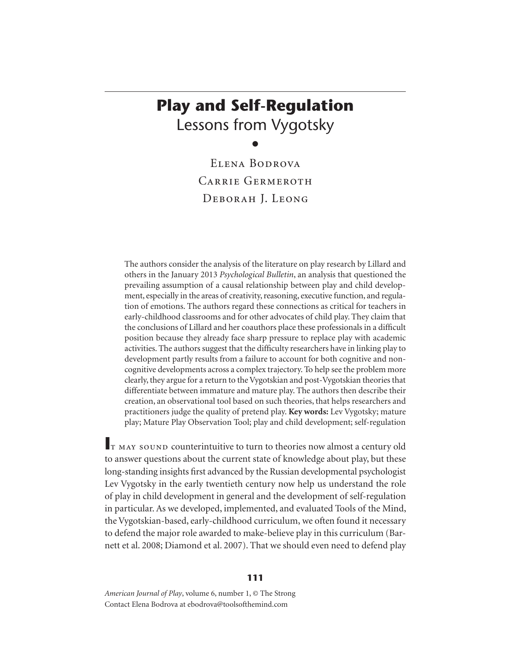# **Play and Self-Regulation**  Lessons from Vygotsky

 $\bullet$ 

Elena Bodrova CARRIE GERMEROTH Deborah J. Leong

The authors consider the analysis of the literature on play research by Lillard and others in the January 2013 *Psychological Bulletin*, an analysis that questioned the prevailing assumption of a causal relationship between play and child development, especially in the areas of creativity, reasoning, executive function, and regulation of emotions. The authors regard these connections as critical for teachers in early-childhood classrooms and for other advocates of child play. They claim that the conclusions of Lillard and her coauthors place these professionals in a difficult position because they already face sharp pressure to replace play with academic activities. The authors suggest that the difficulty researchers have in linking play to development partly results from a failure to account for both cognitive and noncognitive developments across a complex trajectory. To help see the problem more clearly, they argue for a return to the Vygotskian and post-Vygotskian theories that differentiate between immature and mature play. The authors then describe their creation, an observational tool based on such theories, that helps researchers and practitioners judge the quality of pretend play. **Key words:** Lev Vygotsky; mature play; Mature Play Observation Tool; play and child development; self-regulation

**I**t may sound counterintuitive to turn to theories now almost a century old to answer questions about the current state of knowledge about play, but these long-standing insights first advanced by the Russian developmental psychologist Lev Vygotsky in the early twentieth century now help us understand the role of play in child development in general and the development of self-regulation in particular. As we developed, implemented, and evaluated Tools of the Mind, the Vygotskian-based, early-childhood curriculum, we often found it necessary to defend the major role awarded to make-believe play in this curriculum (Barnett et al. 2008; Diamond et al. 2007). That we should even need to defend play

*American Journal of Play*, volume 6, number 1, © The Strong Contact Elena Bodrova at ebodrova@toolsofthemind.com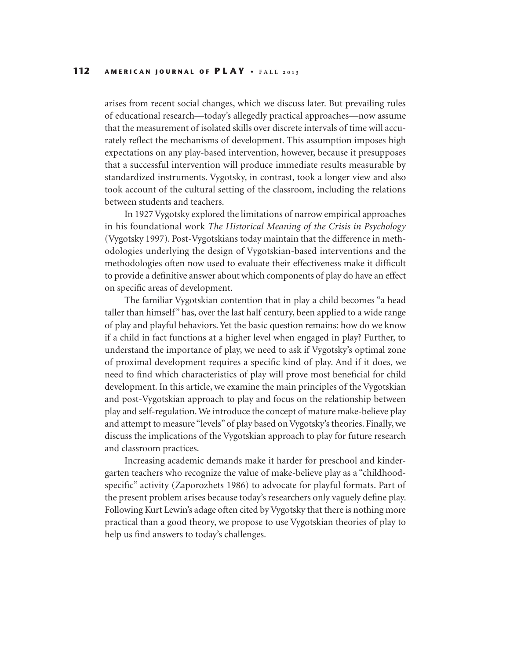arises from recent social changes, which we discuss later. But prevailing rules of educational research—today's allegedly practical approaches—now assume that the measurement of isolated skills over discrete intervals of time will accurately reflect the mechanisms of development. This assumption imposes high expectations on any play-based intervention, however, because it presupposes that a successful intervention will produce immediate results measurable by standardized instruments. Vygotsky, in contrast, took a longer view and also took account of the cultural setting of the classroom, including the relations between students and teachers.

In 1927 Vygotsky explored the limitations of narrow empirical approaches in his foundational work *The Historical Meaning of the Crisis in Psychology* (Vygotsky 1997). Post-Vygotskians today maintain that the difference in methodologies underlying the design of Vygotskian-based interventions and the methodologies often now used to evaluate their effectiveness make it difficult to provide a definitive answer about which components of play do have an effect on specific areas of development.

The familiar Vygotskian contention that in play a child becomes "a head taller than himself" has, over the last half century, been applied to a wide range of play and playful behaviors. Yet the basic question remains: how do we know if a child in fact functions at a higher level when engaged in play? Further, to understand the importance of play, we need to ask if Vygotsky's optimal zone of proximal development requires a specific kind of play. And if it does, we need to find which characteristics of play will prove most beneficial for child development. In this article, we examine the main principles of the Vygotskian and post-Vygotskian approach to play and focus on the relationship between play and self-regulation. We introduce the concept of mature make-believe play and attempt to measure "levels" of play based on Vygotsky's theories. Finally, we discuss the implications of the Vygotskian approach to play for future research and classroom practices.

Increasing academic demands make it harder for preschool and kindergarten teachers who recognize the value of make-believe play as a "childhoodspecific" activity (Zaporozhets 1986) to advocate for playful formats. Part of the present problem arises because today's researchers only vaguely define play. Following Kurt Lewin's adage often cited by Vygotsky that there is nothing more practical than a good theory, we propose to use Vygotskian theories of play to help us find answers to today's challenges.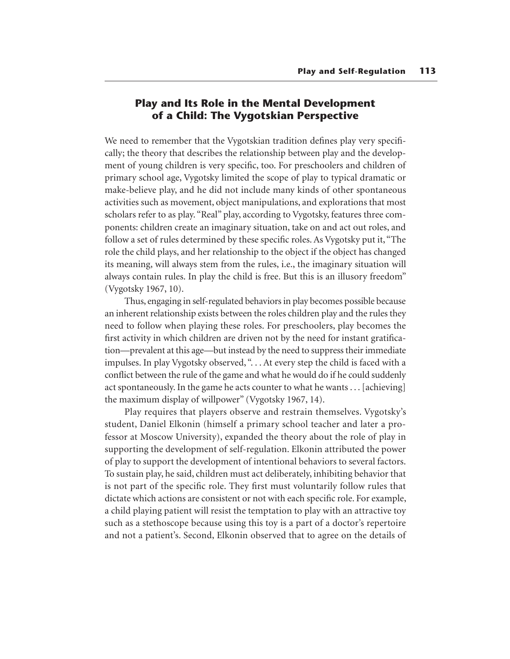# **Play and Its Role in the Mental Development of a Child: The Vygotskian Perspective**

We need to remember that the Vygotskian tradition defines play very specifically; the theory that describes the relationship between play and the development of young children is very specific, too. For preschoolers and children of primary school age, Vygotsky limited the scope of play to typical dramatic or make-believe play, and he did not include many kinds of other spontaneous activities such as movement, object manipulations, and explorations that most scholars refer to as play. "Real" play, according to Vygotsky, features three components: children create an imaginary situation, take on and act out roles, and follow a set of rules determined by these specific roles. As Vygotsky put it, "The role the child plays, and her relationship to the object if the object has changed its meaning, will always stem from the rules, i.e., the imaginary situation will always contain rules. In play the child is free. But this is an illusory freedom" (Vygotsky 1967, 10).

Thus, engaging in self-regulated behaviors in play becomes possible because an inherent relationship exists between the roles children play and the rules they need to follow when playing these roles. For preschoolers, play becomes the first activity in which children are driven not by the need for instant gratification—prevalent at this age—but instead by the need to suppress their immediate impulses. In play Vygotsky observed, ". . . At every step the child is faced with a conflict between the rule of the game and what he would do if he could suddenly act spontaneously. In the game he acts counter to what he wants . . . [achieving] the maximum display of willpower" (Vygotsky 1967, 14).

Play requires that players observe and restrain themselves. Vygotsky's student, Daniel Elkonin (himself a primary school teacher and later a professor at Moscow University), expanded the theory about the role of play in supporting the development of self-regulation. Elkonin attributed the power of play to support the development of intentional behaviors to several factors. To sustain play, he said, children must act deliberately, inhibiting behavior that is not part of the specific role. They first must voluntarily follow rules that dictate which actions are consistent or not with each specific role. For example, a child playing patient will resist the temptation to play with an attractive toy such as a stethoscope because using this toy is a part of a doctor's repertoire and not a patient's. Second, Elkonin observed that to agree on the details of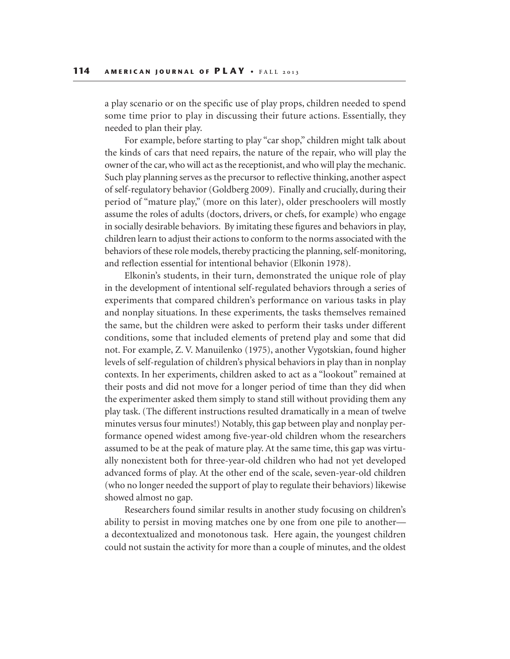a play scenario or on the specific use of play props, children needed to spend some time prior to play in discussing their future actions. Essentially, they needed to plan their play.

For example, before starting to play "car shop," children might talk about the kinds of cars that need repairs, the nature of the repair, who will play the owner of the car, who will act as the receptionist, and who will play the mechanic. Such play planning serves as the precursor to reflective thinking, another aspect of self-regulatory behavior (Goldberg 2009). Finally and crucially, during their period of "mature play," (more on this later), older preschoolers will mostly assume the roles of adults (doctors, drivers, or chefs, for example) who engage in socially desirable behaviors. By imitating these figures and behaviors in play, children learn to adjust their actions to conform to the norms associated with the behaviors of these role models, thereby practicing the planning, self-monitoring, and reflection essential for intentional behavior (Elkonin 1978).

Elkonin's students, in their turn, demonstrated the unique role of play in the development of intentional self-regulated behaviors through a series of experiments that compared children's performance on various tasks in play and nonplay situations. In these experiments, the tasks themselves remained the same, but the children were asked to perform their tasks under different conditions, some that included elements of pretend play and some that did not. For example, Z. V. Manuilenko (1975), another Vygotskian, found higher levels of self-regulation of children's physical behaviors in play than in nonplay contexts. In her experiments, children asked to act as a "lookout" remained at their posts and did not move for a longer period of time than they did when the experimenter asked them simply to stand still without providing them any play task. (The different instructions resulted dramatically in a mean of twelve minutes versus four minutes!) Notably, this gap between play and nonplay performance opened widest among five-year-old children whom the researchers assumed to be at the peak of mature play. At the same time, this gap was virtually nonexistent both for three-year-old children who had not yet developed advanced forms of play. At the other end of the scale, seven-year-old children (who no longer needed the support of play to regulate their behaviors) likewise showed almost no gap.

Researchers found similar results in another study focusing on children's ability to persist in moving matches one by one from one pile to another a decontextualized and monotonous task. Here again, the youngest children could not sustain the activity for more than a couple of minutes, and the oldest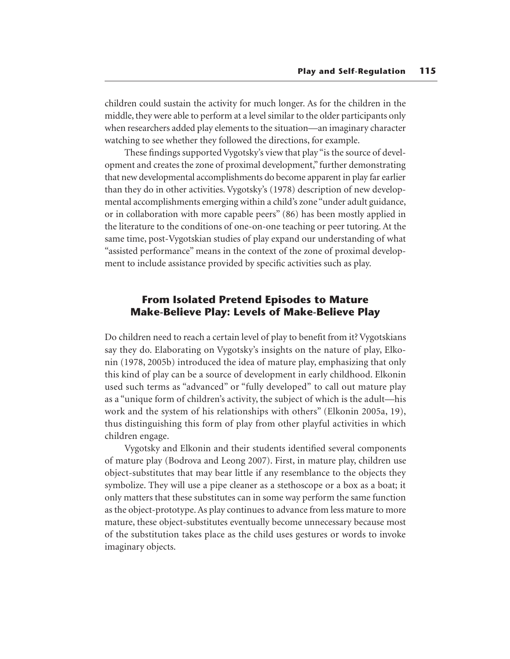children could sustain the activity for much longer. As for the children in the middle, they were able to perform at a level similar to the older participants only when researchers added play elements to the situation—an imaginary character watching to see whether they followed the directions, for example.

These findings supported Vygotsky's view that play "is the source of development and creates the zone of proximal development," further demonstrating that new developmental accomplishments do become apparent in play far earlier than they do in other activities. Vygotsky's (1978) description of new developmental accomplishments emerging within a child's zone "under adult guidance, or in collaboration with more capable peers" (86) has been mostly applied in the literature to the conditions of one-on-one teaching or peer tutoring. At the same time, post-Vygotskian studies of play expand our understanding of what "assisted performance" means in the context of the zone of proximal development to include assistance provided by specific activities such as play.

## **From Isolated Pretend Episodes to Mature Make-Believe Play: Levels of Make-Believe Play**

Do children need to reach a certain level of play to benefit from it? Vygotskians say they do. Elaborating on Vygotsky's insights on the nature of play, Elkonin (1978, 2005b) introduced the idea of mature play, emphasizing that only this kind of play can be a source of development in early childhood. Elkonin used such terms as "advanced" or "fully developed" to call out mature play as a "unique form of children's activity, the subject of which is the adult—his work and the system of his relationships with others" (Elkonin 2005a, 19), thus distinguishing this form of play from other playful activities in which children engage.

Vygotsky and Elkonin and their students identified several components of mature play (Bodrova and Leong 2007). First, in mature play, children use object-substitutes that may bear little if any resemblance to the objects they symbolize. They will use a pipe cleaner as a stethoscope or a box as a boat; it only matters that these substitutes can in some way perform the same function as the object-prototype. As play continues to advance from less mature to more mature, these object-substitutes eventually become unnecessary because most of the substitution takes place as the child uses gestures or words to invoke imaginary objects.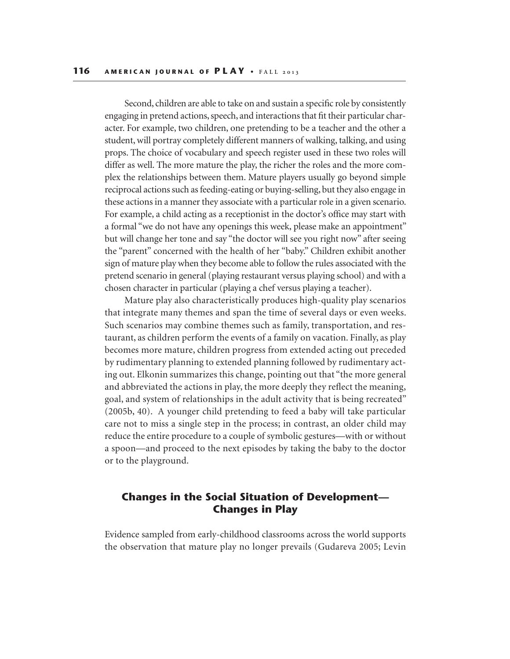Second, children are able to take on and sustain a specific role by consistently engaging in pretend actions, speech, and interactions that fit their particular character. For example, two children, one pretending to be a teacher and the other a student, will portray completely different manners of walking, talking, and using props. The choice of vocabulary and speech register used in these two roles will differ as well. The more mature the play, the richer the roles and the more complex the relationships between them. Mature players usually go beyond simple reciprocal actions such as feeding-eating or buying-selling, but they also engage in these actions in a manner they associate with a particular role in a given scenario. For example, a child acting as a receptionist in the doctor's office may start with a formal "we do not have any openings this week, please make an appointment" but will change her tone and say "the doctor will see you right now" after seeing the "parent" concerned with the health of her "baby." Children exhibit another sign of mature play when they become able to follow the rules associated with the pretend scenario in general (playing restaurant versus playing school) and with a chosen character in particular (playing a chef versus playing a teacher).

Mature play also characteristically produces high-quality play scenarios that integrate many themes and span the time of several days or even weeks. Such scenarios may combine themes such as family, transportation, and restaurant, as children perform the events of a family on vacation. Finally, as play becomes more mature, children progress from extended acting out preceded by rudimentary planning to extended planning followed by rudimentary acting out. Elkonin summarizes this change, pointing out that "the more general and abbreviated the actions in play, the more deeply they reflect the meaning, goal, and system of relationships in the adult activity that is being recreated" (2005b, 40). A younger child pretending to feed a baby will take particular care not to miss a single step in the process; in contrast, an older child may reduce the entire procedure to a couple of symbolic gestures—with or without a spoon—and proceed to the next episodes by taking the baby to the doctor or to the playground.

## **Changes in the Social Situation of Development— Changes in Play**

Evidence sampled from early-childhood classrooms across the world supports the observation that mature play no longer prevails (Gudareva 2005; Levin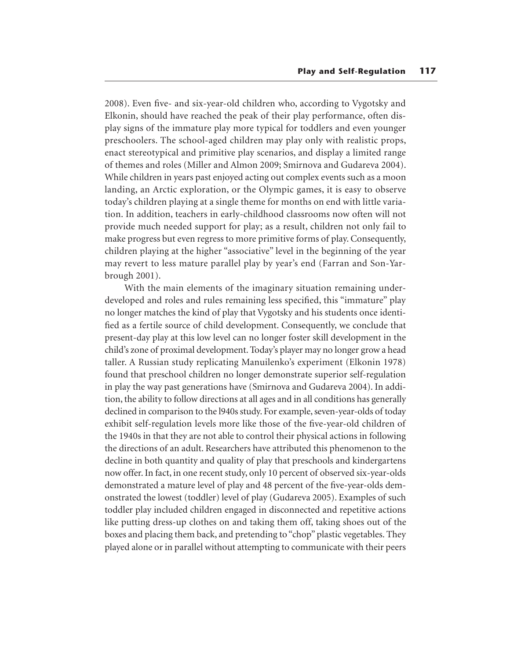2008). Even five- and six-year-old children who, according to Vygotsky and Elkonin, should have reached the peak of their play performance, often display signs of the immature play more typical for toddlers and even younger preschoolers. The school-aged children may play only with realistic props, enact stereotypical and primitive play scenarios, and display a limited range of themes and roles (Miller and Almon 2009; Smirnova and Gudareva 2004). While children in years past enjoyed acting out complex events such as a moon landing, an Arctic exploration, or the Olympic games, it is easy to observe today's children playing at a single theme for months on end with little variation. In addition, teachers in early-childhood classrooms now often will not provide much needed support for play; as a result, children not only fail to make progress but even regress to more primitive forms of play. Consequently, children playing at the higher "associative" level in the beginning of the year may revert to less mature parallel play by year's end (Farran and Son-Yarbrough 2001).

With the main elements of the imaginary situation remaining underdeveloped and roles and rules remaining less specified, this "immature" play no longer matches the kind of play that Vygotsky and his students once identified as a fertile source of child development. Consequently, we conclude that present-day play at this low level can no longer foster skill development in the child's zone of proximal development. Today's player may no longer grow a head taller. A Russian study replicating Manuilenko's experiment (Elkonin 1978) found that preschool children no longer demonstrate superior self-regulation in play the way past generations have (Smirnova and Gudareva 2004). In addition, the ability to follow directions at all ages and in all conditions has generally declined in comparison to the l940s study. For example, seven-year-olds of today exhibit self-regulation levels more like those of the five-year-old children of the 1940s in that they are not able to control their physical actions in following the directions of an adult. Researchers have attributed this phenomenon to the decline in both quantity and quality of play that preschools and kindergartens now offer. In fact, in one recent study, only 10 percent of observed six-year-olds demonstrated a mature level of play and 48 percent of the five-year-olds demonstrated the lowest (toddler) level of play (Gudareva 2005). Examples of such toddler play included children engaged in disconnected and repetitive actions like putting dress-up clothes on and taking them off, taking shoes out of the boxes and placing them back, and pretending to "chop" plastic vegetables. They played alone or in parallel without attempting to communicate with their peers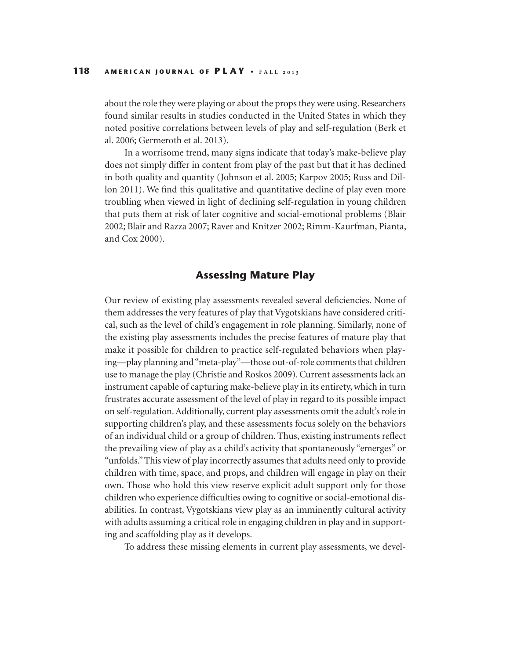about the role they were playing or about the props they were using. Researchers found similar results in studies conducted in the United States in which they noted positive correlations between levels of play and self-regulation (Berk et al. 2006; Germeroth et al. 2013).

In a worrisome trend, many signs indicate that today's make-believe play does not simply differ in content from play of the past but that it has declined in both quality and quantity (Johnson et al. 2005; Karpov 2005; Russ and Dillon 2011). We find this qualitative and quantitative decline of play even more troubling when viewed in light of declining self-regulation in young children that puts them at risk of later cognitive and social-emotional problems (Blair 2002; Blair and Razza 2007; Raver and Knitzer 2002; Rimm-Kaurfman, Pianta, and Cox 2000).

#### **Assessing Mature Play**

Our review of existing play assessments revealed several deficiencies. None of them addresses the very features of play that Vygotskians have considered critical, such as the level of child's engagement in role planning. Similarly, none of the existing play assessments includes the precise features of mature play that make it possible for children to practice self-regulated behaviors when playing—play planning and "meta-play"—those out-of-role comments that children use to manage the play (Christie and Roskos 2009). Current assessments lack an instrument capable of capturing make-believe play in its entirety, which in turn frustrates accurate assessment of the level of play in regard to its possible impact on self-regulation. Additionally, current play assessments omit the adult's role in supporting children's play, and these assessments focus solely on the behaviors of an individual child or a group of children. Thus, existing instruments reflect the prevailing view of play as a child's activity that spontaneously "emerges" or "unfolds." This view of play incorrectly assumes that adults need only to provide children with time, space, and props, and children will engage in play on their own. Those who hold this view reserve explicit adult support only for those children who experience difficulties owing to cognitive or social-emotional disabilities. In contrast, Vygotskians view play as an imminently cultural activity with adults assuming a critical role in engaging children in play and in supporting and scaffolding play as it develops.

To address these missing elements in current play assessments, we devel-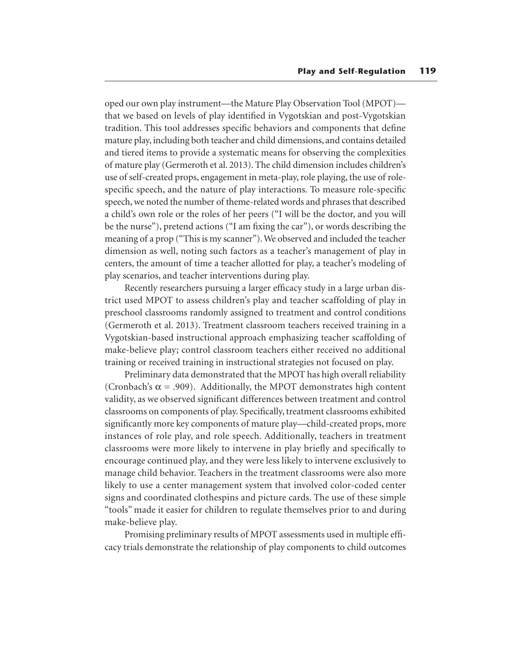oped our own play instrument—the Mature Play Observation Tool (MPOT) that we based on levels of play identified in Vygotskian and post-Vygotskian tradition. This tool addresses specific behaviors and components that define mature play, including both teacher and child dimensions, and contains detailed and tiered items to provide a systematic means for observing the complexities of mature play (Germeroth et al. 2013). The child dimension includes children's use of self-created props, engagement in meta-play, role playing, the use of rolespecific speech, and the nature of play interactions. To measure role-specific speech, we noted the number of theme-related words and phrases that described a child's own role or the roles of her peers ("I will be the doctor, and you will be the nurse"), pretend actions ("I am fixing the car"), or words describing the meaning of a prop ("This is my scanner"). We observed and included the teacher dimension as well, noting such factors as a teacher's management of play in centers, the amount of time a teacher allotted for play, a teacher's modeling of play scenarios, and teacher interventions during play.

Recently researchers pursuing a larger efficacy study in a large urban district used MPOT to assess children's play and teacher scaffolding of play in preschool classrooms randomly assigned to treatment and control conditions (Germeroth et al. 2013). Treatment classroom teachers received training in a Vygotskian-based instructional approach emphasizing teacher scaffolding of make-believe play; control classroom teachers either received no additional training or received training in instructional strategies not focused on play.

Preliminary data demonstrated that the MPOT has high overall reliability (Cronbach's  $\alpha$  = .909). Additionally, the MPOT demonstrates high content validity, as we observed significant differences between treatment and control classrooms on components of play. Specifically, treatment classrooms exhibited significantly more key components of mature play—child-created props, more instances of role play, and role speech. Additionally, teachers in treatment classrooms were more likely to intervene in play briefly and specifically to encourage continued play, and they were less likely to intervene exclusively to manage child behavior. Teachers in the treatment classrooms were also more likely to use a center management system that involved color-coded center signs and coordinated clothespins and picture cards. The use of these simple "tools" made it easier for children to regulate themselves prior to and during make-believe play.

Promising preliminary results of MPOT assessments used in multiple efficacy trials demonstrate the relationship of play components to child outcomes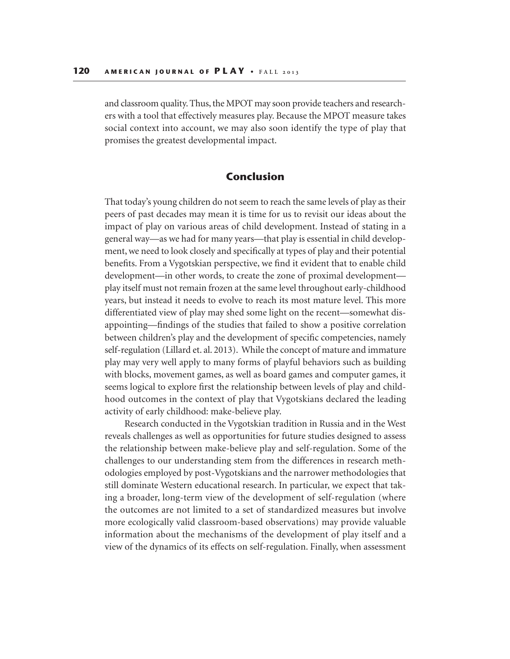and classroom quality. Thus, the MPOT may soon provide teachers and researchers with a tool that effectively measures play. Because the MPOT measure takes social context into account, we may also soon identify the type of play that promises the greatest developmental impact.

#### **Conclusion**

That today's young children do not seem to reach the same levels of play as their peers of past decades may mean it is time for us to revisit our ideas about the impact of play on various areas of child development. Instead of stating in a general way—as we had for many years—that play is essential in child development, we need to look closely and specifically at types of play and their potential benefits. From a Vygotskian perspective, we find it evident that to enable child development—in other words, to create the zone of proximal development play itself must not remain frozen at the same level throughout early-childhood years, but instead it needs to evolve to reach its most mature level. This more differentiated view of play may shed some light on the recent—somewhat disappointing—findings of the studies that failed to show a positive correlation between children's play and the development of specific competencies, namely self-regulation (Lillard et. al. 2013). While the concept of mature and immature play may very well apply to many forms of playful behaviors such as building with blocks, movement games, as well as board games and computer games, it seems logical to explore first the relationship between levels of play and childhood outcomes in the context of play that Vygotskians declared the leading activity of early childhood: make-believe play.

Research conducted in the Vygotskian tradition in Russia and in the West reveals challenges as well as opportunities for future studies designed to assess the relationship between make-believe play and self-regulation. Some of the challenges to our understanding stem from the differences in research methodologies employed by post-Vygotskians and the narrower methodologies that still dominate Western educational research. In particular, we expect that taking a broader, long-term view of the development of self-regulation (where the outcomes are not limited to a set of standardized measures but involve more ecologically valid classroom-based observations) may provide valuable information about the mechanisms of the development of play itself and a view of the dynamics of its effects on self-regulation. Finally, when assessment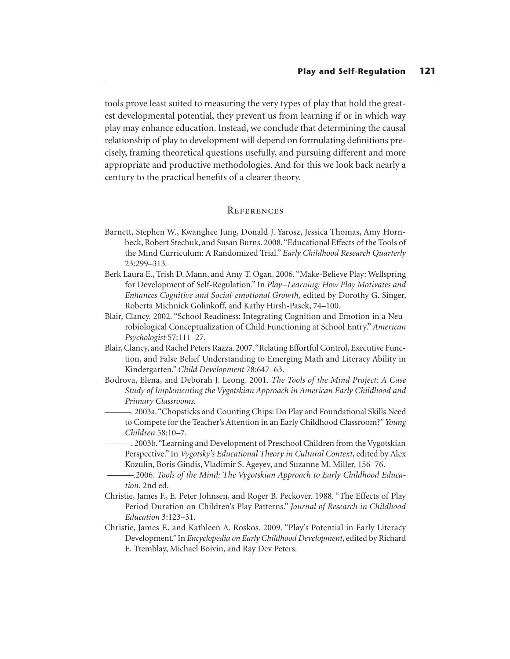tools prove least suited to measuring the very types of play that hold the greatest developmental potential, they prevent us from learning if or in which way play may enhance education. Instead, we conclude that determining the causal relationship of play to development will depend on formulating definitions precisely, framing theoretical questions usefully, and pursuing different and more appropriate and productive methodologies. And for this we look back nearly a century to the practical benefits of a clearer theory.

#### **REFERENCES**

- Barnett, Stephen W., Kwanghee Jung, Donald J. Yarosz, Jessica Thomas, Amy Hornbeck, Robert Stechuk, and Susan Burns. 2008. "Educational Effects of the Tools of the Mind Curriculum: A Randomized Trial." *Early Childhood Research Quarterly*  23:299–313*.*
- Berk Laura E., Trish D. Mann, and Amy T. Ogan. 2006. "Make-Believe Play: Wellspring for Development of Self-Regulation." In *Play=Learning: How Play Motivates and Enhances Cognitive and Social-emotional Growth,* edited by Dorothy G. Singer, Roberta Michnick Golinkoff, and Kathy Hirsh-Pasek, 74–100.
- Blair, Clancy. 2002. "School Readiness: Integrating Cognition and Emotion in a Neurobiological Conceptualization of Child Functioning at School Entry." *American Psychologist* 57:111–27.
- Blair, Clancy, and Rachel Peters Razza. 2007. "Relating Effortful Control, Executive Function, and False Belief Understanding to Emerging Math and Literacy Ability in Kindergarten." *Child Development* 78:647–63.
- Bodrova, Elena, and Deborah J. Leong. 2001. *The Tools of the Mind Project: A Case Study of Implementing the Vygotskian Approach in American Early Childhood and Primary Classrooms*.
- ———. 2003a. "Chopsticks and Counting Chips: Do Play and Foundational Skills Need to Compete for the Teacher's Attention in an Early Childhood Classroom?" *Young Children* 58:10–7.
- ———. 2003b. "Learning and Development of Preschool Children from the Vygotskian Perspective." In *Vygotsky's Educational Theory in Cultural Context*, edited by Alex Kozulin, Boris Gindis, Vladimir S. Ageyev, and Suzanne M. Miller, 156–76.
- -.2006. Tools of the Mind: The Vygotskian Approach to Early Childhood Educa*tion.* 2nd ed.
- Christie, James F., E. Peter Johnsen, and Roger B. Peckover. 1988. "The Effects of Play Period Duration on Children's Play Patterns." *Journal of Research in Childhood Education* 3:123–31.
- Christie, James F., and Kathleen A. Roskos. 2009. "Play's Potential in Early Literacy Development." In *Encyclopedia on Early Childhood Development*, edited by Richard E. Tremblay, Michael Boivin, and Ray Dev Peters.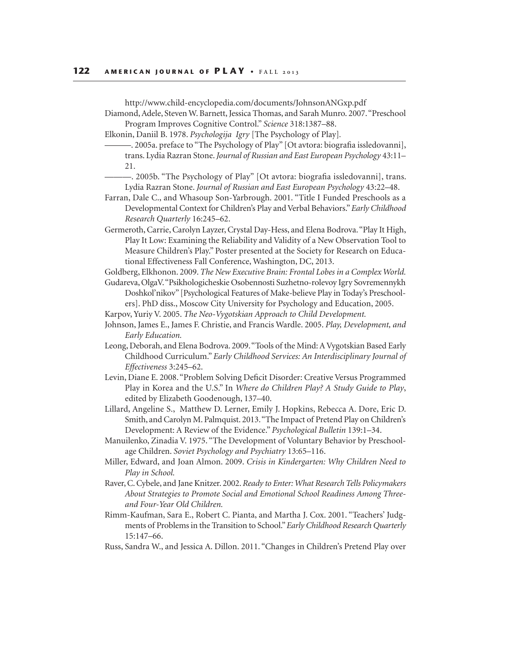http://www.child-encyclopedia.com/documents/JohnsonANGxp.pdf

Diamond, Adele, Steven W. Barnett, Jessica Thomas, and Sarah Munro. 2007. "Preschool Program Improves Cognitive Control." *Science* 318:1387–88.

Elkonin, Daniil B. 1978. *Psychologija Igry* [The Psychology of Play]*.* 

———. 2005a. preface to "The Psychology of Play" [Ot avtora: biografia issledovanni], trans. Lydia Razran Stone. *Journal of Russian and East European Psychology* 43:11– 21.

- ———. 2005b. "The Psychology of Play" [Ot avtora: biografia issledovanni], trans. Lydia Razran Stone. *Journal of Russian and East European Psychology* 43:22–48.
- Farran, Dale C., and Whasoup Son-Yarbrough. 2001. "Title I Funded Preschools as a Developmental Context for Children's Play and Verbal Behaviors." *Early Childhood Research Quarterly* 16:245–62.
- Germeroth, Carrie, Carolyn Layzer, Crystal Day-Hess, and Elena Bodrova. "Play It High, Play It Low: Examining the Reliability and Validity of a New Observation Tool to Measure Children's Play." Poster presented at the Society for Research on Educational Effectiveness Fall Conference, Washington, DC, 2013.

Goldberg, Elkhonon. 2009. *The New Executive Brain: Frontal Lobes in a Complex World.*

- Gudareva, OlgaV. "Psikhologicheskie Osobennosti Suzhetno-rolevoy Igry Sovremennykh Doshkol'nikov" [Psychological Features of Make-believe Play in Today's Preschoolers]. PhD diss., Moscow City University for Psychology and Education, 2005.
- Karpov, Yuriy V. 2005. *The Neo-Vygotskian Approach to Child Development.*
- Johnson, James E., James F. Christie, and Francis Wardle. 2005. *Play, Development, and Early Education.*
- Leong, Deborah, and Elena Bodrova. 2009. "Tools of the Mind: A Vygotskian Based Early Childhood Curriculum." *Early Childhood Services: An Interdisciplinary Journal of Effectiveness* 3:245–62.
- Levin, Diane E. 2008. "Problem Solving Deficit Disorder: Creative Versus Programmed Play in Korea and the U.S." In *Where do Children Play? A Study Guide to Play*, edited by Elizabeth Goodenough, 137–40.
- Lillard, Angeline S., Matthew D. Lerner, Emily J. Hopkins, Rebecca A. Dore, Eric D. Smith, and Carolyn M. Palmquist. 2013. "The Impact of Pretend Play on Children's Development: A Review of the Evidence." *Psychological Bulletin* 139:1–34.
- Manuilenko, Zinadia V. 1975. "The Development of Voluntary Behavior by Preschoolage Children. *Soviet Psychology and Psychiatry* 13:65–116.
- Miller, Edward, and Joan Almon. 2009. *Crisis in Kindergarten: Why Children Need to Play in School.*
- Raver, C. Cybele, and Jane Knitzer. 2002. *Ready to Enter: What Research Tells Policymakers About Strategies to Promote Social and Emotional School Readiness Among Threeand Four-Year Old Children.*
- Rimm-Kaufman, Sara E., Robert C. Pianta, and Martha J. Cox. 2001. "Teachers' Judgments of Problems in the Transition to School." *Early Childhood Research Quarterly*  15:147–66.
- Russ, Sandra W., and Jessica A. Dillon. 2011. "Changes in Children's Pretend Play over